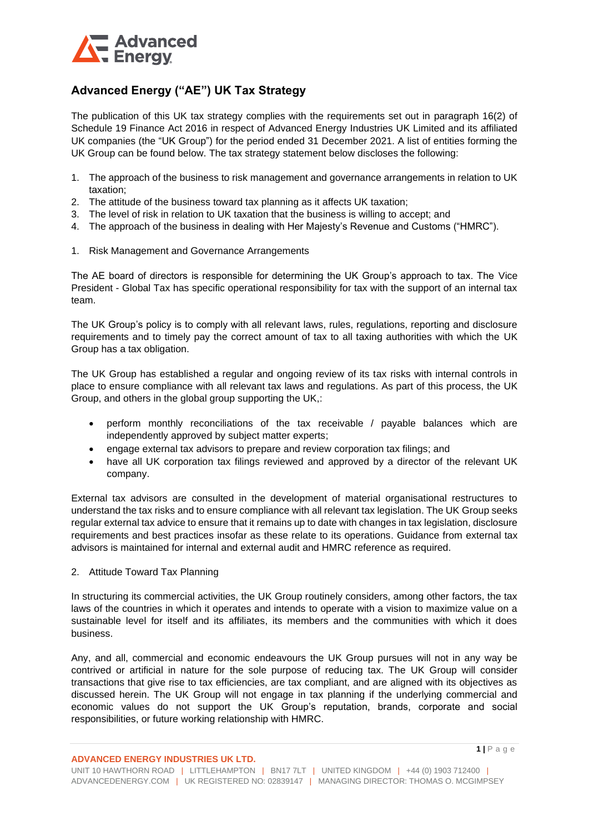

## **Advanced Energy ("AE") UK Tax Strategy**

The publication of this UK tax strategy complies with the requirements set out in paragraph 16(2) of Schedule 19 Finance Act 2016 in respect of Advanced Energy Industries UK Limited and its affiliated UK companies (the "UK Group") for the period ended 31 December 2021. A list of entities forming the UK Group can be found below. The tax strategy statement below discloses the following:

- 1. The approach of the business to risk management and governance arrangements in relation to UK taxation;
- 2. The attitude of the business toward tax planning as it affects UK taxation;
- 3. The level of risk in relation to UK taxation that the business is willing to accept; and
- 4. The approach of the business in dealing with Her Majesty's Revenue and Customs ("HMRC").
- 1. Risk Management and Governance Arrangements

The AE board of directors is responsible for determining the UK Group's approach to tax. The Vice President - Global Tax has specific operational responsibility for tax with the support of an internal tax team.

The UK Group's policy is to comply with all relevant laws, rules, regulations, reporting and disclosure requirements and to timely pay the correct amount of tax to all taxing authorities with which the UK Group has a tax obligation.

The UK Group has established a regular and ongoing review of its tax risks with internal controls in place to ensure compliance with all relevant tax laws and regulations. As part of this process, the UK Group, and others in the global group supporting the UK,:

- perform monthly reconciliations of the tax receivable / payable balances which are independently approved by subject matter experts;
- engage external tax advisors to prepare and review corporation tax filings; and
- have all UK corporation tax filings reviewed and approved by a director of the relevant UK company.

External tax advisors are consulted in the development of material organisational restructures to understand the tax risks and to ensure compliance with all relevant tax legislation. The UK Group seeks regular external tax advice to ensure that it remains up to date with changes in tax legislation, disclosure requirements and best practices insofar as these relate to its operations. Guidance from external tax advisors is maintained for internal and external audit and HMRC reference as required.

2. Attitude Toward Tax Planning

In structuring its commercial activities, the UK Group routinely considers, among other factors, the tax laws of the countries in which it operates and intends to operate with a vision to maximize value on a sustainable level for itself and its affiliates, its members and the communities with which it does business.

Any, and all, commercial and economic endeavours the UK Group pursues will not in any way be contrived or artificial in nature for the sole purpose of reducing tax. The UK Group will consider transactions that give rise to tax efficiencies, are tax compliant, and are aligned with its objectives as discussed herein. The UK Group will not engage in tax planning if the underlying commercial and economic values do not support the UK Group's reputation, brands, corporate and social responsibilities, or future working relationship with HMRC.